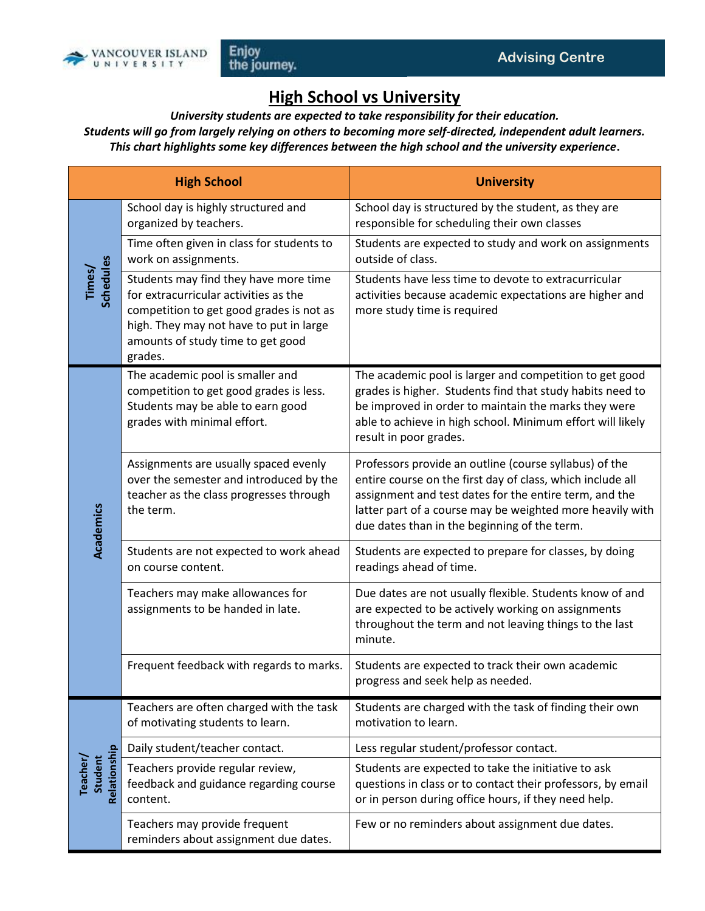

## **High School vs University**

*University students are expected to take responsibility for their education. Students will go from largely relying on others to becoming more self-directed, independent adult learners. This chart highlights some key differences between the high school and the university experience***.**

| <b>High School</b>                  |                                                                                                                                                                                                                       | <b>University</b>                                                                                                                                                                                                                                                                           |
|-------------------------------------|-----------------------------------------------------------------------------------------------------------------------------------------------------------------------------------------------------------------------|---------------------------------------------------------------------------------------------------------------------------------------------------------------------------------------------------------------------------------------------------------------------------------------------|
| Times/<br>Schedules                 | School day is highly structured and<br>organized by teachers.                                                                                                                                                         | School day is structured by the student, as they are<br>responsible for scheduling their own classes                                                                                                                                                                                        |
|                                     | Time often given in class for students to<br>work on assignments.                                                                                                                                                     | Students are expected to study and work on assignments<br>outside of class.                                                                                                                                                                                                                 |
|                                     | Students may find they have more time<br>for extracurricular activities as the<br>competition to get good grades is not as<br>high. They may not have to put in large<br>amounts of study time to get good<br>grades. | Students have less time to devote to extracurricular<br>activities because academic expectations are higher and<br>more study time is required                                                                                                                                              |
| Academics                           | The academic pool is smaller and<br>competition to get good grades is less.<br>Students may be able to earn good<br>grades with minimal effort.                                                                       | The academic pool is larger and competition to get good<br>grades is higher. Students find that study habits need to<br>be improved in order to maintain the marks they were<br>able to achieve in high school. Minimum effort will likely<br>result in poor grades.                        |
|                                     | Assignments are usually spaced evenly<br>over the semester and introduced by the<br>teacher as the class progresses through<br>the term.                                                                              | Professors provide an outline (course syllabus) of the<br>entire course on the first day of class, which include all<br>assignment and test dates for the entire term, and the<br>latter part of a course may be weighted more heavily with<br>due dates than in the beginning of the term. |
|                                     | Students are not expected to work ahead<br>on course content.                                                                                                                                                         | Students are expected to prepare for classes, by doing<br>readings ahead of time.                                                                                                                                                                                                           |
|                                     | Teachers may make allowances for<br>assignments to be handed in late.                                                                                                                                                 | Due dates are not usually flexible. Students know of and<br>are expected to be actively working on assignments<br>throughout the term and not leaving things to the last<br>minute.                                                                                                         |
|                                     | Frequent feedback with regards to marks.                                                                                                                                                                              | Students are expected to track their own academic<br>progress and seek help as needed.                                                                                                                                                                                                      |
| Relationship<br>Student<br>Teacher/ | Teachers are often charged with the task<br>of motivating students to learn.                                                                                                                                          | Students are charged with the task of finding their own<br>motivation to learn.                                                                                                                                                                                                             |
|                                     | Daily student/teacher contact.                                                                                                                                                                                        | Less regular student/professor contact.                                                                                                                                                                                                                                                     |
|                                     | Teachers provide regular review,<br>feedback and guidance regarding course<br>content.                                                                                                                                | Students are expected to take the initiative to ask<br>questions in class or to contact their professors, by email<br>or in person during office hours, if they need help.                                                                                                                  |
|                                     | Teachers may provide frequent<br>reminders about assignment due dates.                                                                                                                                                | Few or no reminders about assignment due dates.                                                                                                                                                                                                                                             |